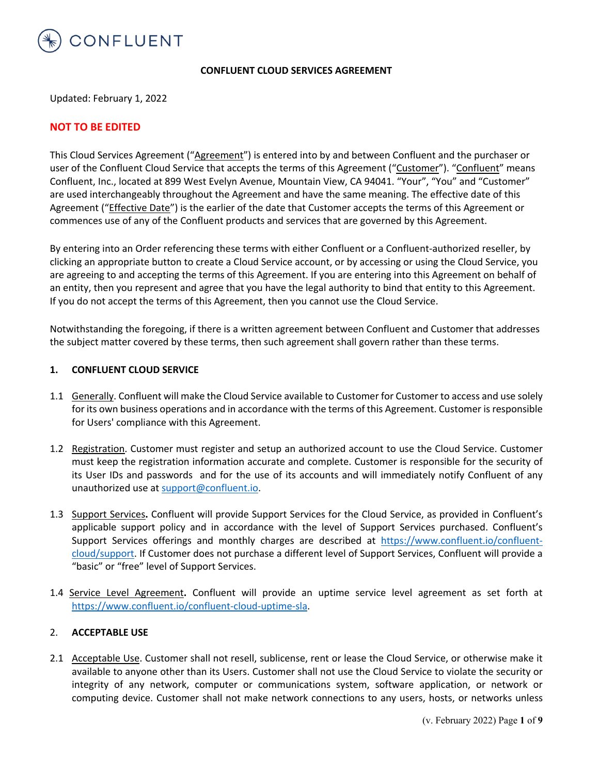

#### **CONFLUENT CLOUD SERVICES AGREEMENT**

Updated: February 1, 2022

# **NOT TO BE EDITED**

This Cloud Services Agreement ("Agreement") is entered into by and between Confluent and the purchaser or user of the Confluent Cloud Service that accepts the terms of this Agreement ("Customer"). "Confluent" means Confluent, Inc., located at 899 West Evelyn Avenue, Mountain View, CA 94041. "Your", "You" and "Customer" are used interchangeably throughout the Agreement and have the same meaning. The effective date of this Agreement ("*Effective Date"*) is the earlier of the date that Customer accepts the terms of this Agreement or commences use of any of the Confluent products and services that are governed by this Agreement.

By entering into an Order referencing these terms with either Confluent or a Confluent-authorized reseller, by clicking an appropriate button to create a Cloud Service account, or by accessing or using the Cloud Service, you are agreeing to and accepting the terms of this Agreement. If you are entering into this Agreement on behalf of an entity, then you represent and agree that you have the legal authority to bind that entity to this Agreement. If you do not accept the terms of this Agreement, then you cannot use the Cloud Service.

Notwithstanding the foregoing, if there is a written agreement between Confluent and Customer that addresses the subject matter covered by these terms, then such agreement shall govern rather than these terms.

#### **1. CONFLUENT CLOUD SERVICE**

- 1.1 Generally. Confluent will make the Cloud Service available to Customer for Customer to access and use solely for its own business operations and in accordance with the terms of this Agreement. Customer is responsible for Users' compliance with this Agreement.
- 1.2 Registration. Customer must register and setup an authorized account to use the Cloud Service. Customer must keep the registration information accurate and complete. Customer is responsible for the security of its User IDs and passwords and for the use of its accounts and will immediately notify Confluent of any unauthorized use at support@confluent.io.
- 1.3 Support Services**.** Confluent will provide Support Services for the Cloud Service, as provided in Confluent's applicable support policy and in accordance with the level of Support Services purchased. Confluent's Support Services offerings and monthly charges are described at https://www.confluent.io/confluentcloud/support. If Customer does not purchase a different level of Support Services, Confluent will provide a "basic" or "free" level of Support Services.
- 1.4 Service Level Agreement**.** Confluent will provide an uptime service level agreement as set forth at https://www.confluent.io/confluent-cloud-uptime-sla.

#### 2. **ACCEPTABLE USE**

2.1 Acceptable Use. Customer shall not resell, sublicense, rent or lease the Cloud Service, or otherwise make it available to anyone other than its Users. Customer shall not use the Cloud Service to violate the security or integrity of any network, computer or communications system, software application, or network or computing device. Customer shall not make network connections to any users, hosts, or networks unless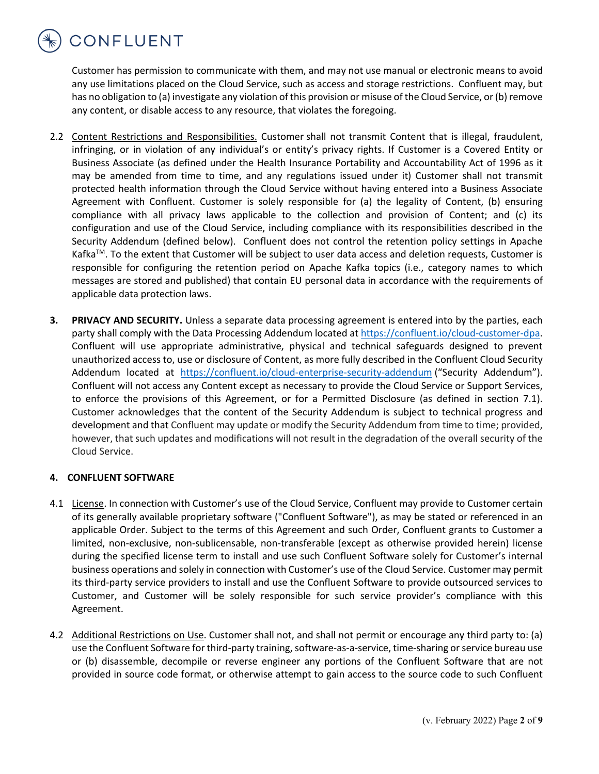

Customer has permission to communicate with them, and may not use manual or electronic means to avoid any use limitations placed on the Cloud Service, such as access and storage restrictions. Confluent may, but has no obligation to (a) investigate any violation of this provision or misuse of the Cloud Service, or (b) remove any content, or disable access to any resource, that violates the foregoing.

- 2.2 Content Restrictions and Responsibilities. Customer shall not transmit Content that is illegal, fraudulent, infringing, or in violation of any individual's or entity's privacy rights. If Customer is a Covered Entity or Business Associate (as defined under the Health Insurance Portability and Accountability Act of 1996 as it may be amended from time to time, and any regulations issued under it) Customer shall not transmit protected health information through the Cloud Service without having entered into a Business Associate Agreement with Confluent. Customer is solely responsible for (a) the legality of Content, (b) ensuring compliance with all privacy laws applicable to the collection and provision of Content; and (c) its configuration and use of the Cloud Service, including compliance with its responsibilities described in the Security Addendum (defined below). Confluent does not control the retention policy settings in Apache Kafka<sup>TM</sup>. To the extent that Customer will be subject to user data access and deletion requests, Customer is responsible for configuring the retention period on Apache Kafka topics (i.e., category names to which messages are stored and published) that contain EU personal data in accordance with the requirements of applicable data protection laws.
- **3. PRIVACY AND SECURITY.** Unless a separate data processing agreement is entered into by the parties, each party shall comply with the Data Processing Addendum located at https://confluent.io/cloud-customer-dpa. Confluent will use appropriate administrative, physical and technical safeguards designed to prevent unauthorized access to, use or disclosure of Content, as more fully described in the Confluent Cloud Security Addendum located at https://confluent.io/cloud-enterprise-security-addendum ("Security Addendum"). Confluent will not access any Content except as necessary to provide the Cloud Service or Support Services, to enforce the provisions of this Agreement, or for a Permitted Disclosure (as defined in section 7.1). Customer acknowledges that the content of the Security Addendum is subject to technical progress and development and that Confluent may update or modify the Security Addendum from time to time; provided, however, that such updates and modifications will not result in the degradation of the overall security of the Cloud Service.

# **4. CONFLUENT SOFTWARE**

- 4.1 License. In connection with Customer's use of the Cloud Service, Confluent may provide to Customer certain of its generally available proprietary software ("Confluent Software"), as may be stated or referenced in an applicable Order. Subject to the terms of this Agreement and such Order, Confluent grants to Customer a limited, non-exclusive, non-sublicensable, non-transferable (except as otherwise provided herein) license during the specified license term to install and use such Confluent Software solely for Customer's internal business operations and solely in connection with Customer's use of the Cloud Service. Customer may permit its third-party service providers to install and use the Confluent Software to provide outsourced services to Customer, and Customer will be solely responsible for such service provider's compliance with this Agreement.
- 4.2 Additional Restrictions on Use. Customer shall not, and shall not permit or encourage any third party to: (a) use the Confluent Software for third-party training, software-as-a-service, time-sharing or service bureau use or (b) disassemble, decompile or reverse engineer any portions of the Confluent Software that are not provided in source code format, or otherwise attempt to gain access to the source code to such Confluent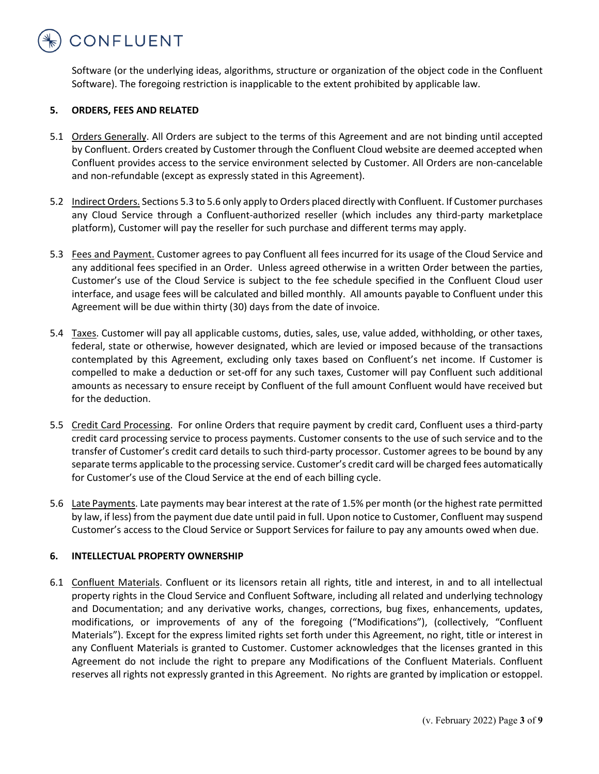

Software (or the underlying ideas, algorithms, structure or organization of the object code in the Confluent Software). The foregoing restriction is inapplicable to the extent prohibited by applicable law.

# **5. ORDERS, FEES AND RELATED**

- 5.1 Orders Generally. All Orders are subject to the terms of this Agreement and are not binding until accepted by Confluent. Orders created by Customer through the Confluent Cloud website are deemed accepted when Confluent provides access to the service environment selected by Customer. All Orders are non-cancelable and non-refundable (except as expressly stated in this Agreement).
- 5.2 Indirect Orders. Sections 5.3 to 5.6 only apply to Orders placed directly with Confluent. If Customer purchases any Cloud Service through a Confluent-authorized reseller (which includes any third-party marketplace platform), Customer will pay the reseller for such purchase and different terms may apply.
- 5.3 Fees and Payment. Customer agrees to pay Confluent all fees incurred for its usage of the Cloud Service and any additional fees specified in an Order. Unless agreed otherwise in a written Order between the parties, Customer's use of the Cloud Service is subject to the fee schedule specified in the Confluent Cloud user interface, and usage fees will be calculated and billed monthly. All amounts payable to Confluent under this Agreement will be due within thirty (30) days from the date of invoice.
- 5.4 Taxes. Customer will pay all applicable customs, duties, sales, use, value added, withholding, or other taxes, federal, state or otherwise, however designated, which are levied or imposed because of the transactions contemplated by this Agreement, excluding only taxes based on Confluent's net income. If Customer is compelled to make a deduction or set-off for any such taxes, Customer will pay Confluent such additional amounts as necessary to ensure receipt by Confluent of the full amount Confluent would have received but for the deduction.
- 5.5 Credit Card Processing. For online Orders that require payment by credit card, Confluent uses a third-party credit card processing service to process payments. Customer consents to the use of such service and to the transfer of Customer's credit card details to such third-party processor. Customer agrees to be bound by any separate terms applicable to the processing service. Customer's credit card will be charged fees automatically for Customer's use of the Cloud Service at the end of each billing cycle.
- 5.6 Late Payments. Late payments may bear interest at the rate of 1.5% per month (or the highest rate permitted by law, if less) from the payment due date until paid in full. Upon notice to Customer, Confluent may suspend Customer's access to the Cloud Service or Support Services for failure to pay any amounts owed when due.

# **6. INTELLECTUAL PROPERTY OWNERSHIP**

6.1 Confluent Materials. Confluent or its licensors retain all rights, title and interest, in and to all intellectual property rights in the Cloud Service and Confluent Software, including all related and underlying technology and Documentation; and any derivative works, changes, corrections, bug fixes, enhancements, updates, modifications, or improvements of any of the foregoing ("Modifications"), (collectively, "Confluent Materials"). Except for the express limited rights set forth under this Agreement, no right, title or interest in any Confluent Materials is granted to Customer. Customer acknowledges that the licenses granted in this Agreement do not include the right to prepare any Modifications of the Confluent Materials. Confluent reserves all rights not expressly granted in this Agreement. No rights are granted by implication or estoppel.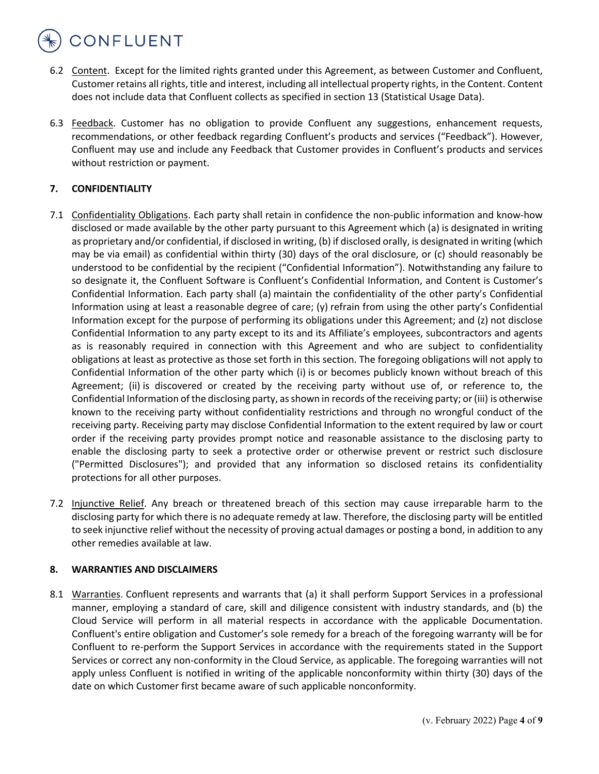# CONFLUENT

- 6.2 Content. Except for the limited rights granted under this Agreement, as between Customer and Confluent, Customer retains all rights, title and interest, including all intellectual property rights, in the Content. Content does not include data that Confluent collects as specified in section 13 (Statistical Usage Data).
- 6.3 Feedback. Customer has no obligation to provide Confluent any suggestions, enhancement requests, recommendations, or other feedback regarding Confluent's products and services ("Feedback"). However, Confluent may use and include any Feedback that Customer provides in Confluent's products and services without restriction or payment.

# **7. CONFIDENTIALITY**

- 7.1 Confidentiality Obligations. Each party shall retain in confidence the non-public information and know-how disclosed or made available by the other party pursuant to this Agreement which (a) is designated in writing as proprietary and/or confidential, if disclosed in writing, (b) if disclosed orally, is designated in writing (which may be via email) as confidential within thirty (30) days of the oral disclosure, or (c) should reasonably be understood to be confidential by the recipient ("Confidential Information"). Notwithstanding any failure to so designate it, the Confluent Software is Confluent's Confidential Information, and Content is Customer's Confidential Information. Each party shall (a) maintain the confidentiality of the other party's Confidential Information using at least a reasonable degree of care; (y) refrain from using the other party's Confidential Information except for the purpose of performing its obligations under this Agreement; and (z) not disclose Confidential Information to any party except to its and its Affiliate's employees, subcontractors and agents as is reasonably required in connection with this Agreement and who are subject to confidentiality obligations at least as protective as those set forth in this section. The foregoing obligations will not apply to Confidential Information of the other party which (i) is or becomes publicly known without breach of this Agreement; (ii) is discovered or created by the receiving party without use of, or reference to, the Confidential Information of the disclosing party, as shown in records of the receiving party; or (iii) is otherwise known to the receiving party without confidentiality restrictions and through no wrongful conduct of the receiving party. Receiving party may disclose Confidential Information to the extent required by law or court order if the receiving party provides prompt notice and reasonable assistance to the disclosing party to enable the disclosing party to seek a protective order or otherwise prevent or restrict such disclosure ("Permitted Disclosures"); and provided that any information so disclosed retains its confidentiality protections for all other purposes.
- 7.2 Injunctive Relief. Any breach or threatened breach of this section may cause irreparable harm to the disclosing party for which there is no adequate remedy at law. Therefore, the disclosing party will be entitled to seek injunctive relief without the necessity of proving actual damages or posting a bond, in addition to any other remedies available at law.

# **8. WARRANTIES AND DISCLAIMERS**

8.1 Warranties. Confluent represents and warrants that (a) it shall perform Support Services in a professional manner, employing a standard of care, skill and diligence consistent with industry standards, and (b) the Cloud Service will perform in all material respects in accordance with the applicable Documentation. Confluent's entire obligation and Customer's sole remedy for a breach of the foregoing warranty will be for Confluent to re-perform the Support Services in accordance with the requirements stated in the Support Services or correct any non-conformity in the Cloud Service, as applicable. The foregoing warranties will not apply unless Confluent is notified in writing of the applicable nonconformity within thirty (30) days of the date on which Customer first became aware of such applicable nonconformity.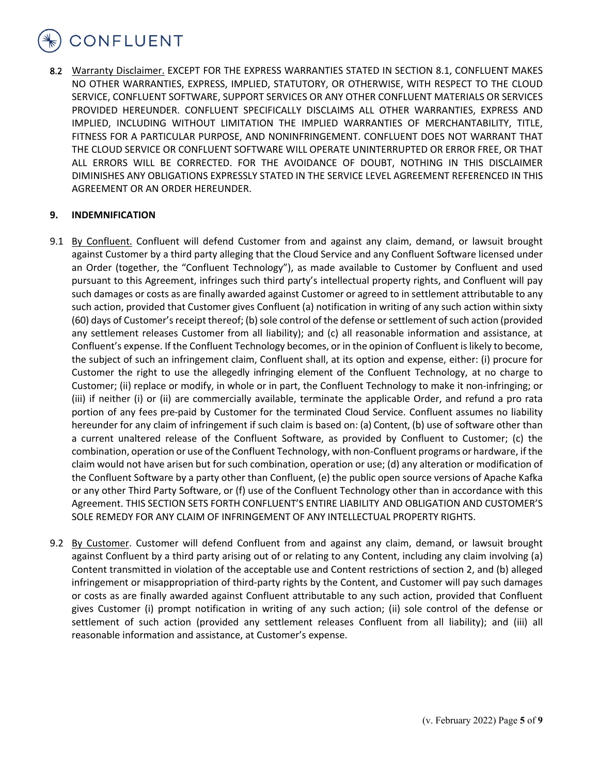

8.2 Warranty Disclaimer. EXCEPT FOR THE EXPRESS WARRANTIES STATED IN SECTION 8.1, CONFLUENT MAKES NO OTHER WARRANTIES, EXPRESS, IMPLIED, STATUTORY, OR OTHERWISE, WITH RESPECT TO THE CLOUD SERVICE, CONFLUENT SOFTWARE, SUPPORT SERVICES OR ANY OTHER CONFLUENT MATERIALS OR SERVICES PROVIDED HEREUNDER. CONFLUENT SPECIFICALLY DISCLAIMS ALL OTHER WARRANTIES, EXPRESS AND IMPLIED, INCLUDING WITHOUT LIMITATION THE IMPLIED WARRANTIES OF MERCHANTABILITY, TITLE, FITNESS FOR A PARTICULAR PURPOSE, AND NONINFRINGEMENT. CONFLUENT DOES NOT WARRANT THAT THE CLOUD SERVICE OR CONFLUENT SOFTWARE WILL OPERATE UNINTERRUPTED OR ERROR FREE, OR THAT ALL ERRORS WILL BE CORRECTED. FOR THE AVOIDANCE OF DOUBT, NOTHING IN THIS DISCLAIMER DIMINISHES ANY OBLIGATIONS EXPRESSLY STATED IN THE SERVICE LEVEL AGREEMENT REFERENCED IN THIS AGREEMENT OR AN ORDER HEREUNDER.

## **9. INDEMNIFICATION**

- 9.1 By Confluent. Confluent will defend Customer from and against any claim, demand, or lawsuit brought against Customer by a third party alleging that the Cloud Service and any Confluent Software licensed under an Order (together, the "Confluent Technology"), as made available to Customer by Confluent and used pursuant to this Agreement, infringes such third party's intellectual property rights, and Confluent will pay such damages or costs as are finally awarded against Customer or agreed to in settlement attributable to any such action, provided that Customer gives Confluent (a) notification in writing of any such action within sixty (60) days of Customer's receipt thereof; (b) sole control of the defense or settlement of such action (provided any settlement releases Customer from all liability); and (c) all reasonable information and assistance, at Confluent's expense. If the Confluent Technology becomes, or in the opinion of Confluent is likely to become, the subject of such an infringement claim, Confluent shall, at its option and expense, either: (i) procure for Customer the right to use the allegedly infringing element of the Confluent Technology, at no charge to Customer; (ii) replace or modify, in whole or in part, the Confluent Technology to make it non-infringing; or (iii) if neither (i) or (ii) are commercially available, terminate the applicable Order, and refund a pro rata portion of any fees pre-paid by Customer for the terminated Cloud Service. Confluent assumes no liability hereunder for any claim of infringement if such claim is based on: (a) Content, (b) use of software other than a current unaltered release of the Confluent Software, as provided by Confluent to Customer; (c) the combination, operation or use of the Confluent Technology, with non-Confluent programs or hardware, if the claim would not have arisen but for such combination, operation or use; (d) any alteration or modification of the Confluent Software by a party other than Confluent, (e) the public open source versions of Apache Kafka or any other Third Party Software, or (f) use of the Confluent Technology other than in accordance with this Agreement. THIS SECTION SETS FORTH CONFLUENT'S ENTIRE LIABILITY AND OBLIGATION AND CUSTOMER'S SOLE REMEDY FOR ANY CLAIM OF INFRINGEMENT OF ANY INTELLECTUAL PROPERTY RIGHTS.
- 9.2 By Customer. Customer will defend Confluent from and against any claim, demand, or lawsuit brought against Confluent by a third party arising out of or relating to any Content, including any claim involving (a) Content transmitted in violation of the acceptable use and Content restrictions of section 2, and (b) alleged infringement or misappropriation of third-party rights by the Content, and Customer will pay such damages or costs as are finally awarded against Confluent attributable to any such action, provided that Confluent gives Customer (i) prompt notification in writing of any such action; (ii) sole control of the defense or settlement of such action (provided any settlement releases Confluent from all liability); and (iii) all reasonable information and assistance, at Customer's expense.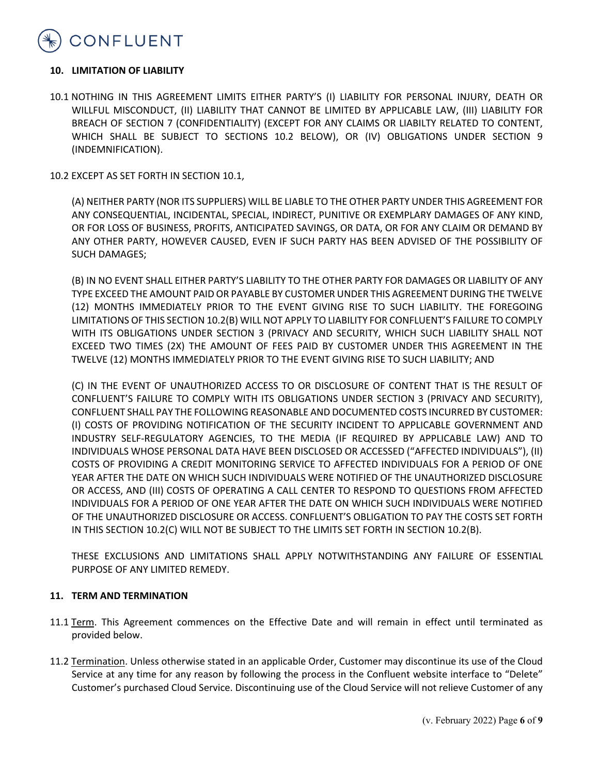

#### **10. LIMITATION OF LIABILITY**

10.1 NOTHING IN THIS AGREEMENT LIMITS EITHER PARTY'S (I) LIABILITY FOR PERSONAL INJURY, DEATH OR WILLFUL MISCONDUCT, (II) LIABILITY THAT CANNOT BE LIMITED BY APPLICABLE LAW, (III) LIABILITY FOR BREACH OF SECTION 7 (CONFIDENTIALITY) (EXCEPT FOR ANY CLAIMS OR LIABILTY RELATED TO CONTENT, WHICH SHALL BE SUBJECT TO SECTIONS 10.2 BELOW), OR (IV) OBLIGATIONS UNDER SECTION 9 (INDEMNIFICATION).

10.2 EXCEPT AS SET FORTH IN SECTION 10.1,

(A) NEITHER PARTY (NOR ITS SUPPLIERS) WILL BE LIABLE TO THE OTHER PARTY UNDER THIS AGREEMENT FOR ANY CONSEQUENTIAL, INCIDENTAL, SPECIAL, INDIRECT, PUNITIVE OR EXEMPLARY DAMAGES OF ANY KIND, OR FOR LOSS OF BUSINESS, PROFITS, ANTICIPATED SAVINGS, OR DATA, OR FOR ANY CLAIM OR DEMAND BY ANY OTHER PARTY, HOWEVER CAUSED, EVEN IF SUCH PARTY HAS BEEN ADVISED OF THE POSSIBILITY OF SUCH DAMAGES;

(B) IN NO EVENT SHALL EITHER PARTY'S LIABILITY TO THE OTHER PARTY FOR DAMAGES OR LIABILITY OF ANY TYPE EXCEED THE AMOUNT PAID OR PAYABLE BY CUSTOMER UNDER THIS AGREEMENT DURING THE TWELVE (12) MONTHS IMMEDIATELY PRIOR TO THE EVENT GIVING RISE TO SUCH LIABILITY. THE FOREGOING LIMITATIONS OF THIS SECTION 10.2(B) WILL NOT APPLY TO LIABILITY FOR CONFLUENT'S FAILURE TO COMPLY WITH ITS OBLIGATIONS UNDER SECTION 3 (PRIVACY AND SECURITY, WHICH SUCH LIABILITY SHALL NOT EXCEED TWO TIMES (2X) THE AMOUNT OF FEES PAID BY CUSTOMER UNDER THIS AGREEMENT IN THE TWELVE (12) MONTHS IMMEDIATELY PRIOR TO THE EVENT GIVING RISE TO SUCH LIABILITY; AND

(C) IN THE EVENT OF UNAUTHORIZED ACCESS TO OR DISCLOSURE OF CONTENT THAT IS THE RESULT OF CONFLUENT'S FAILURE TO COMPLY WITH ITS OBLIGATIONS UNDER SECTION 3 (PRIVACY AND SECURITY), CONFLUENT SHALL PAY THE FOLLOWING REASONABLE AND DOCUMENTED COSTS INCURRED BY CUSTOMER: (I) COSTS OF PROVIDING NOTIFICATION OF THE SECURITY INCIDENT TO APPLICABLE GOVERNMENT AND INDUSTRY SELF-REGULATORY AGENCIES, TO THE MEDIA (IF REQUIRED BY APPLICABLE LAW) AND TO INDIVIDUALS WHOSE PERSONAL DATA HAVE BEEN DISCLOSED OR ACCESSED ("AFFECTED INDIVIDUALS"), (II) COSTS OF PROVIDING A CREDIT MONITORING SERVICE TO AFFECTED INDIVIDUALS FOR A PERIOD OF ONE YEAR AFTER THE DATE ON WHICH SUCH INDIVIDUALS WERE NOTIFIED OF THE UNAUTHORIZED DISCLOSURE OR ACCESS, AND (III) COSTS OF OPERATING A CALL CENTER TO RESPOND TO QUESTIONS FROM AFFECTED INDIVIDUALS FOR A PERIOD OF ONE YEAR AFTER THE DATE ON WHICH SUCH INDIVIDUALS WERE NOTIFIED OF THE UNAUTHORIZED DISCLOSURE OR ACCESS. CONFLUENT'S OBLIGATION TO PAY THE COSTS SET FORTH IN THIS SECTION 10.2(C) WILL NOT BE SUBJECT TO THE LIMITS SET FORTH IN SECTION 10.2(B).

THESE EXCLUSIONS AND LIMITATIONS SHALL APPLY NOTWITHSTANDING ANY FAILURE OF ESSENTIAL PURPOSE OF ANY LIMITED REMEDY.

#### **11. TERM AND TERMINATION**

- 11.1 Term. This Agreement commences on the Effective Date and will remain in effect until terminated as provided below.
- 11.2 Termination. Unless otherwise stated in an applicable Order, Customer may discontinue its use of the Cloud Service at any time for any reason by following the process in the Confluent website interface to "Delete" Customer's purchased Cloud Service. Discontinuing use of the Cloud Service will not relieve Customer of any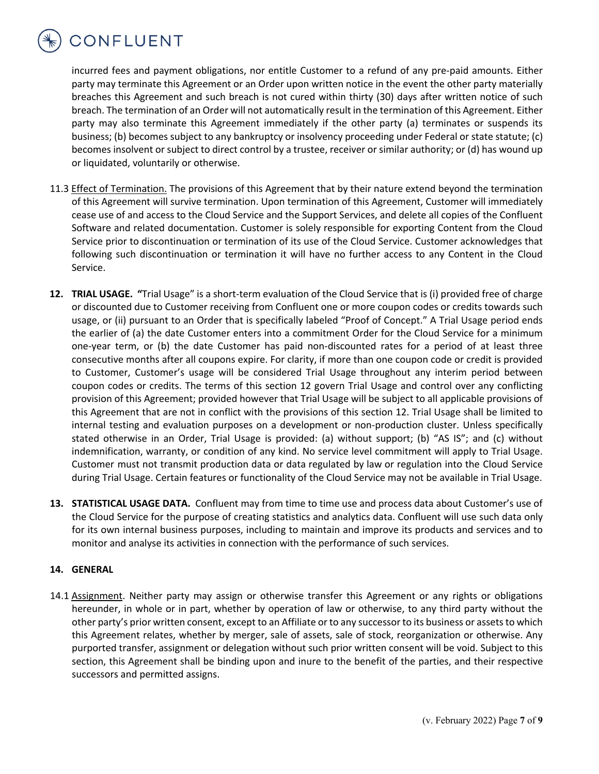

incurred fees and payment obligations, nor entitle Customer to a refund of any pre-paid amounts. Either party may terminate this Agreement or an Order upon written notice in the event the other party materially breaches this Agreement and such breach is not cured within thirty (30) days after written notice of such breach. The termination of an Order will not automatically result in the termination of this Agreement. Either party may also terminate this Agreement immediately if the other party (a) terminates or suspends its business; (b) becomes subject to any bankruptcy or insolvency proceeding under Federal or state statute; (c) becomes insolvent or subject to direct control by a trustee, receiver or similar authority; or (d) has wound up or liquidated, voluntarily or otherwise.

- 11.3 Effect of Termination. The provisions of this Agreement that by their nature extend beyond the termination of this Agreement will survive termination. Upon termination of this Agreement, Customer will immediately cease use of and access to the Cloud Service and the Support Services, and delete all copies of the Confluent Software and related documentation. Customer is solely responsible for exporting Content from the Cloud Service prior to discontinuation or termination of its use of the Cloud Service. Customer acknowledges that following such discontinuation or termination it will have no further access to any Content in the Cloud Service.
- **12. TRIAL USAGE. "**Trial Usage" is a short-term evaluation of the Cloud Service that is (i) provided free of charge or discounted due to Customer receiving from Confluent one or more coupon codes or credits towards such usage, or (ii) pursuant to an Order that is specifically labeled "Proof of Concept." A Trial Usage period ends the earlier of (a) the date Customer enters into a commitment Order for the Cloud Service for a minimum one-year term, or (b) the date Customer has paid non-discounted rates for a period of at least three consecutive months after all coupons expire. For clarity, if more than one coupon code or credit is provided to Customer, Customer's usage will be considered Trial Usage throughout any interim period between coupon codes or credits. The terms of this section 12 govern Trial Usage and control over any conflicting provision of this Agreement; provided however that Trial Usage will be subject to all applicable provisions of this Agreement that are not in conflict with the provisions of this section 12. Trial Usage shall be limited to internal testing and evaluation purposes on a development or non-production cluster. Unless specifically stated otherwise in an Order, Trial Usage is provided: (a) without support; (b) "AS IS"; and (c) without indemnification, warranty, or condition of any kind. No service level commitment will apply to Trial Usage. Customer must not transmit production data or data regulated by law or regulation into the Cloud Service during Trial Usage. Certain features or functionality of the Cloud Service may not be available in Trial Usage.
- **13. STATISTICAL USAGE DATA.** Confluent may from time to time use and process data about Customer's use of the Cloud Service for the purpose of creating statistics and analytics data. Confluent will use such data only for its own internal business purposes, including to maintain and improve its products and services and to monitor and analyse its activities in connection with the performance of such services.

#### **14. GENERAL**

14.1 Assignment. Neither party may assign or otherwise transfer this Agreement or any rights or obligations hereunder, in whole or in part, whether by operation of law or otherwise, to any third party without the other party's prior written consent, except to an Affiliate or to any successor to its business or assets to which this Agreement relates, whether by merger, sale of assets, sale of stock, reorganization or otherwise. Any purported transfer, assignment or delegation without such prior written consent will be void. Subject to this section, this Agreement shall be binding upon and inure to the benefit of the parties, and their respective successors and permitted assigns.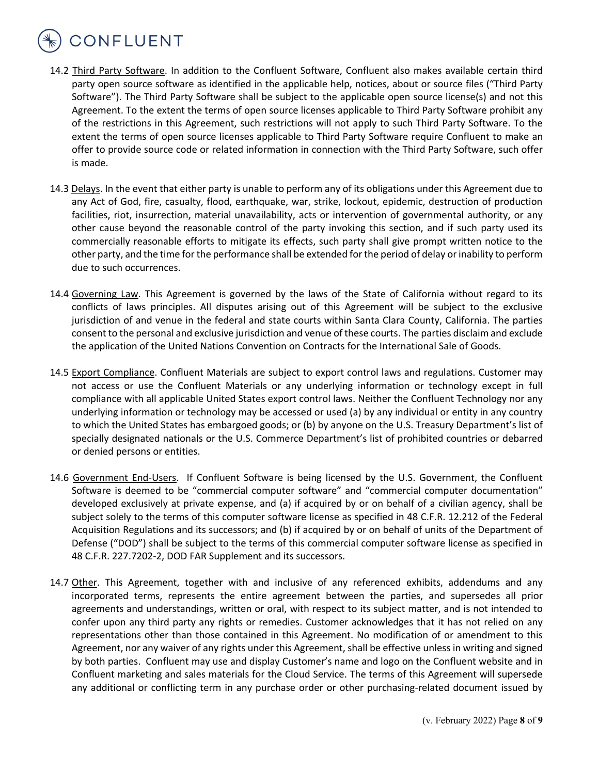CONFLUENT

- 14.2 Third Party Software. In addition to the Confluent Software, Confluent also makes available certain third party open source software as identified in the applicable help, notices, about or source files ("Third Party Software"). The Third Party Software shall be subject to the applicable open source license(s) and not this Agreement. To the extent the terms of open source licenses applicable to Third Party Software prohibit any of the restrictions in this Agreement, such restrictions will not apply to such Third Party Software. To the extent the terms of open source licenses applicable to Third Party Software require Confluent to make an offer to provide source code or related information in connection with the Third Party Software, such offer is made.
- 14.3 Delays. In the event that either party is unable to perform any of its obligations under this Agreement due to any Act of God, fire, casualty, flood, earthquake, war, strike, lockout, epidemic, destruction of production facilities, riot, insurrection, material unavailability, acts or intervention of governmental authority, or any other cause beyond the reasonable control of the party invoking this section, and if such party used its commercially reasonable efforts to mitigate its effects, such party shall give prompt written notice to the other party, and the time for the performance shall be extended for the period of delay or inability to perform due to such occurrences.
- 14.4 Governing Law. This Agreement is governed by the laws of the State of California without regard to its conflicts of laws principles. All disputes arising out of this Agreement will be subject to the exclusive jurisdiction of and venue in the federal and state courts within Santa Clara County, California. The parties consent to the personal and exclusive jurisdiction and venue of these courts. The parties disclaim and exclude the application of the United Nations Convention on Contracts for the International Sale of Goods.
- 14.5 Export Compliance. Confluent Materials are subject to export control laws and regulations. Customer may not access or use the Confluent Materials or any underlying information or technology except in full compliance with all applicable United States export control laws. Neither the Confluent Technology nor any underlying information or technology may be accessed or used (a) by any individual or entity in any country to which the United States has embargoed goods; or (b) by anyone on the U.S. Treasury Department's list of specially designated nationals or the U.S. Commerce Department's list of prohibited countries or debarred or denied persons or entities.
- 14.6 Government End-Users. If Confluent Software is being licensed by the U.S. Government, the Confluent Software is deemed to be "commercial computer software" and "commercial computer documentation" developed exclusively at private expense, and (a) if acquired by or on behalf of a civilian agency, shall be subject solely to the terms of this computer software license as specified in 48 C.F.R. 12.212 of the Federal Acquisition Regulations and its successors; and (b) if acquired by or on behalf of units of the Department of Defense ("DOD") shall be subject to the terms of this commercial computer software license as specified in 48 C.F.R. 227.7202-2, DOD FAR Supplement and its successors.
- 14.7 Other. This Agreement, together with and inclusive of any referenced exhibits, addendums and any incorporated terms, represents the entire agreement between the parties, and supersedes all prior agreements and understandings, written or oral, with respect to its subject matter, and is not intended to confer upon any third party any rights or remedies. Customer acknowledges that it has not relied on any representations other than those contained in this Agreement. No modification of or amendment to this Agreement, nor any waiver of any rights under this Agreement, shall be effective unless in writing and signed by both parties. Confluent may use and display Customer's name and logo on the Confluent website and in Confluent marketing and sales materials for the Cloud Service. The terms of this Agreement will supersede any additional or conflicting term in any purchase order or other purchasing-related document issued by